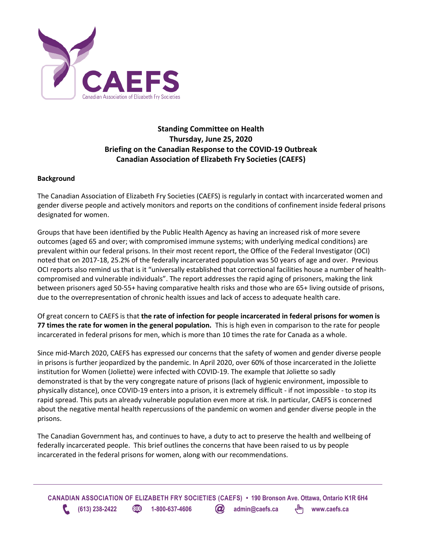

# **Standing Committee on Health Thursday, June 25, 2020 Briefing on the Canadian Response to the COVID-19 Outbreak Canadian Association of Elizabeth Fry Societies (CAEFS)**

### **Background**

The Canadian Association of Elizabeth Fry Societies (CAEFS) is regularly in contact with incarcerated women and gender diverse people and actively monitors and reports on the conditions of confinement inside federal prisons designated for women.

Groups that have been identified by the Public Health Agency as having an increased risk of more severe outcomes (aged 65 and over; with compromised immune systems; with underlying medical conditions) are prevalent within our federal prisons. In their most recent report, the Office of the Federal Investigator (OCI) noted that on 2017-18, 25.2% of the federally incarcerated population was 50 years of age and over. Previous OCI reports also remind us that is it "universally established that correctional facilities house a number of healthcompromised and vulnerable individuals". The report addresses the rapid aging of prisoners, making the link between prisoners aged 50-55+ having comparative health risks and those who are 65+ living outside of prisons, due to the overrepresentation of chronic health issues and lack of access to adequate health care.

Of great concern to CAEFS is that **the rate of infection for people incarcerated in federal prisons for women is 77 times the rate for women in the general population.** This is high even in comparison to the rate for people incarcerated in federal prisons for men, which is more than 10 times the rate for Canada as a whole.

Since mid-March 2020, CAEFS has expressed our concerns that the safety of women and gender diverse people in prisons is further jeopardized by the pandemic. In April 2020, over 60% of those incarcerated in the Joliette institution for Women (Joliette) were infected with COVID-19. The example that Joliette so sadly demonstrated is that by the very congregate nature of prisons (lack of hygienic environment, impossible to physically distance), once COVID-19 enters into a prison, it is extremely difficult - if not impossible - to stop its rapid spread. This puts an already vulnerable population even more at risk. In particular, CAEFS is concerned about the negative mental health repercussions of the pandemic on women and gender diverse people in the prisons.

The Canadian Government has, and continues to have, a duty to act to preserve the health and wellbeing of federally incarcerated people. This brief outlines the concerns that have been raised to us by people incarcerated in the federal prisons for women, along with our recommendations.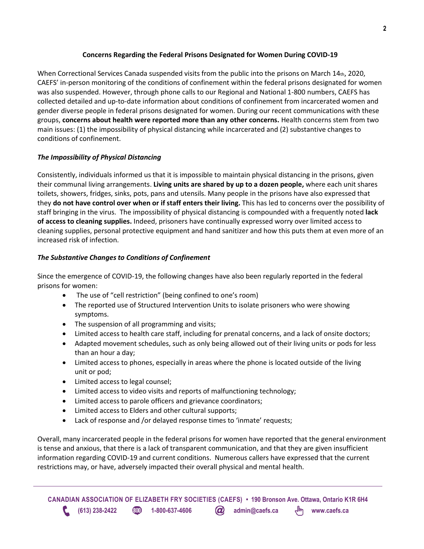## **Concerns Regarding the Federal Prisons Designated for Women During COVID-19**

When Correctional Services Canada suspended visits from the public into the prisons on March 14th, 2020, CAEFS' in-person monitoring of the conditions of confinement within the federal prisons designated for women was also suspended. However, through phone calls to our Regional and National 1-800 numbers, CAEFS has collected detailed and up-to-date information about conditions of confinement from incarcerated women and gender diverse people in federal prisons designated for women. During our recent communications with these groups, **concerns about health were reported more than any other concerns.** Health concerns stem from two main issues: (1) the impossibility of physical distancing while incarcerated and (2) substantive changes to conditions of confinement.

## *The Impossibility of Physical Distancing*

Consistently, individuals informed us that it is impossible to maintain physical distancing in the prisons, given their communal living arrangements. **Living units are shared by up to a dozen people,** where each unit shares toilets, showers, fridges, sinks, pots, pans and utensils. Many people in the prisons have also expressed that they **do not have control over when or if staff enters their living.** This has led to concerns over the possibility of staff bringing in the virus. The impossibility of physical distancing is compounded with a frequently noted **lack of access to cleaning supplies.** Indeed, prisoners have continually expressed worry over limited access to cleaning supplies, personal protective equipment and hand sanitizer and how this puts them at even more of an increased risk of infection.

## *The Substantive Changes to Conditions of Confinement*

Since the emergence of COVID-19, the following changes have also been regularly reported in the federal prisons for women:

- The use of "cell restriction" (being confined to one's room)
- The reported use of Structured Intervention Units to isolate prisoners who were showing symptoms.
- The suspension of all programming and visits;
- Limited access to health care staff, including for prenatal concerns, and a lack of onsite doctors;
- Adapted movement schedules, such as only being allowed out of their living units or pods for less than an hour a day;
- Limited access to phones, especially in areas where the phone is located outside of the living unit or pod;
- Limited access to legal counsel;
- Limited access to video visits and reports of malfunctioning technology;
- Limited access to parole officers and grievance coordinators;
- Limited access to Elders and other cultural supports;
- Lack of response and /or delayed response times to 'inmate' requests;

Overall, many incarcerated people in the federal prisons for women have reported that the general environment is tense and anxious, that there is a lack of transparent communication, and that they are given insufficient information regarding COVID-19 and current conditions. Numerous callers have expressed that the current restrictions may, or have, adversely impacted their overall physical and mental health.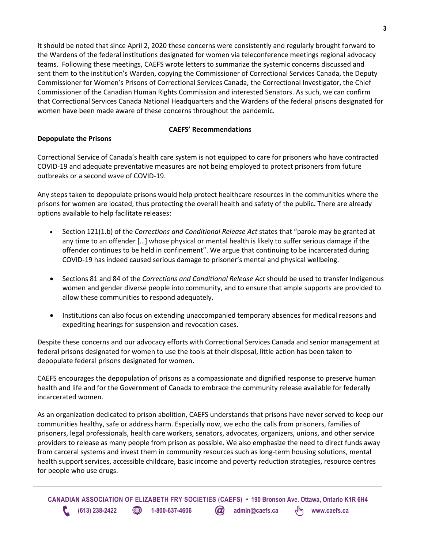It should be noted that since April 2, 2020 these concerns were consistently and regularly brought forward to the Wardens of the federal institutions designated for women via teleconference meetings regional advocacy teams. Following these meetings, CAEFS wrote letters to summarize the systemic concerns discussed and sent them to the institution's Warden, copying the Commissioner of Correctional Services Canada, the Deputy Commissioner for Women's Prisons of Correctional Services Canada, the Correctional Investigator, the Chief Commissioner of the Canadian Human Rights Commission and interested Senators. As such, we can confirm that Correctional Services Canada National Headquarters and the Wardens of the federal prisons designated for women have been made aware of these concerns throughout the pandemic.

#### **CAEFS' Recommendations**

### **Depopulate the Prisons**

Correctional Service of Canada's health care system is not equipped to care for prisoners who have contracted COVID-19 and adequate preventative measures are not being employed to protect prisoners from future outbreaks or a second wave of COVID-19.

Any steps taken to depopulate prisons would help protect healthcare resources in the communities where the prisons for women are located, thus protecting the overall health and safety of the public. There are already options available to help facilitate releases:

- Section 121(1.b) of the *Corrections and Conditional Release Act* states that "parole may be granted at any time to an offender […] whose physical or mental health is likely to suffer serious damage if the offender continues to be held in confinement". We argue that continuing to be incarcerated during COVID-19 has indeed caused serious damage to prisoner's mental and physical wellbeing.
- Sections 81 and 84 of the *Corrections and Conditional Release Act* should be used to transfer Indigenous women and gender diverse people into community, and to ensure that ample supports are provided to allow these communities to respond adequately.
- Institutions can also focus on extending unaccompanied temporary absences for medical reasons and expediting hearings for suspension and revocation cases.

Despite these concerns and our advocacy efforts with Correctional Services Canada and senior management at federal prisons designated for women to use the tools at their disposal, little action has been taken to depopulate federal prisons designated for women.

CAEFS encourages the depopulation of prisons as a compassionate and dignified response to preserve human health and life and for the Government of Canada to embrace the community release available for federally incarcerated women.

As an organization dedicated to prison abolition, CAEFS understands that prisons have never served to keep our communities healthy, safe or address harm. Especially now, we echo the calls from prisoners, families of prisoners, legal professionals, health care workers, senators, advocates, organizers, unions, and other service providers to release as many people from prison as possible. We also emphasize the need to direct funds away from carceral systems and invest them in community resources such as long-term housing solutions, mental health support services, accessible childcare, basic income and poverty reduction strategies, resource centres for people who use drugs.